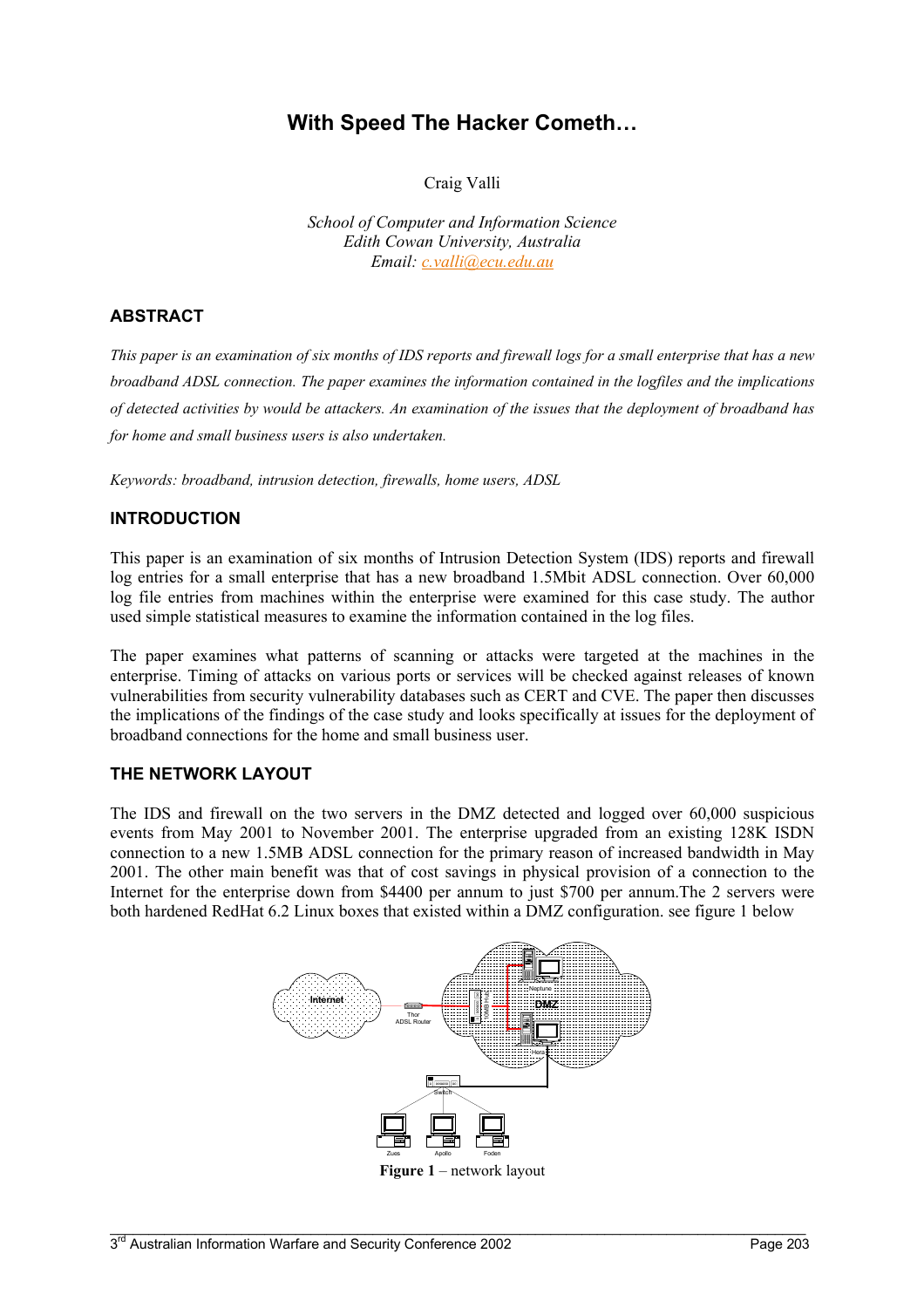# **With Speed The Hacker Cometh…**

Craig Valli

*School of Computer and Information Science Edith Cowan University, Australia Email: [c.valli@ecu.edu.au](mailto:c.valli@ecu.edu.au)*

## **ABSTRACT**

*This paper is an examination of six months of IDS reports and firewall logs for a small enterprise that has a new broadband ADSL connection. The paper examines the information contained in the logfiles and the implications of detected activities by would be attackers. An examination of the issues that the deployment of broadband has for home and small business users is also undertaken.* 

*Keywords: broadband, intrusion detection, firewalls, home users, ADSL*

#### **INTRODUCTION**

This paper is an examination of six months of Intrusion Detection System (IDS) reports and firewall log entries for a small enterprise that has a new broadband 1.5Mbit ADSL connection. Over 60,000 log file entries from machines within the enterprise were examined for this case study. The author used simple statistical measures to examine the information contained in the log files.

The paper examines what patterns of scanning or attacks were targeted at the machines in the enterprise. Timing of attacks on various ports or services will be checked against releases of known vulnerabilities from security vulnerability databases such as CERT and CVE. The paper then discusses the implications of the findings of the case study and looks specifically at issues for the deployment of broadband connections for the home and small business user.

#### **THE NETWORK LAYOUT**

The IDS and firewall on the two servers in the DMZ detected and logged over 60,000 suspicious events from May 2001 to November 2001. The enterprise upgraded from an existing 128K ISDN connection to a new 1.5MB ADSL connection for the primary reason of increased bandwidth in May 2001. The other main benefit was that of cost savings in physical provision of a connection to the Internet for the enterprise down from \$4400 per annum to just \$700 per annum.The 2 servers were both hardened RedHat 6.2 Linux boxes that existed within a DMZ configuration. see figure 1 below

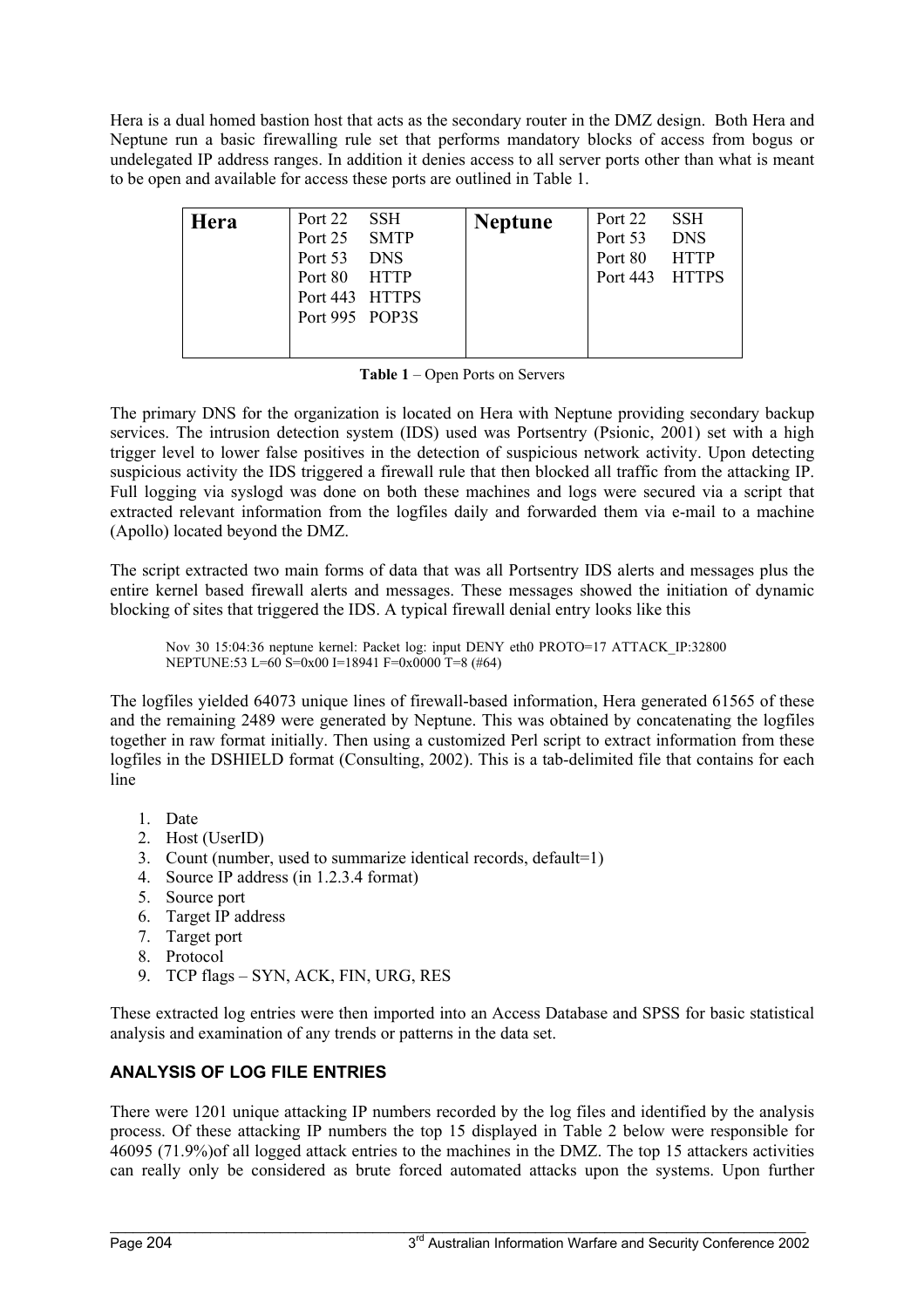Hera is a dual homed bastion host that acts as the secondary router in the DMZ design. Both Hera and Neptune run a basic firewalling rule set that performs mandatory blocks of access from bogus or undelegated IP address ranges. In addition it denies access to all server ports other than what is meant to be open and available for access these ports are outlined in Table 1.

| Hera | Port 22 SSH<br>Port 25 SMTP<br>Port 53 DNS<br>Port 80 HTTP<br>Port 443 HTTPS | <b>Neptune</b> | Port 22 SSH<br>Port 53 DNS<br>Port 80 HTTP<br>Port 443 HTTPS |  |
|------|------------------------------------------------------------------------------|----------------|--------------------------------------------------------------|--|
|      | Port 995 POP3S                                                               |                |                                                              |  |

**Table 1** – Open Ports on Servers

The primary DNS for the organization is located on Hera with Neptune providing secondary backup services. The intrusion detection system (IDS) used was Portsentry (Psionic, 2001) set with a high trigger level to lower false positives in the detection of suspicious network activity. Upon detecting suspicious activity the IDS triggered a firewall rule that then blocked all traffic from the attacking IP. Full logging via syslogd was done on both these machines and logs were secured via a script that extracted relevant information from the logfiles daily and forwarded them via e-mail to a machine (Apollo) located beyond the DMZ.

The script extracted two main forms of data that was all Portsentry IDS alerts and messages plus the entire kernel based firewall alerts and messages. These messages showed the initiation of dynamic blocking of sites that triggered the IDS. A typical firewall denial entry looks like this

Nov 30 15:04:36 neptune kernel: Packet log: input DENY eth0 PROTO=17 ATTACK\_IP:32800 NEPTUNE:53 L=60 S=0x00 I=18941 F=0x0000 T=8 (#64)

The logfiles yielded 64073 unique lines of firewall-based information, Hera generated 61565 of these and the remaining 2489 were generated by Neptune. This was obtained by concatenating the logfiles together in raw format initially. Then using a customized Perl script to extract information from these logfiles in the DSHIELD format (Consulting, 2002). This is a tab-delimited file that contains for each line

- 1. Date
- 2. Host (UserID)
- 3. Count (number, used to summarize identical records, default=1)
- 4. Source IP address (in 1.2.3.4 format)
- 5. Source port
- 6. Target IP address
- 7. Target port
- 8. Protocol
- 9. TCP flags SYN, ACK, FIN, URG, RES

These extracted log entries were then imported into an Access Database and SPSS for basic statistical analysis and examination of any trends or patterns in the data set.

# **ANALYSIS OF LOG FILE ENTRIES**

There were 1201 unique attacking IP numbers recorded by the log files and identified by the analysis process. Of these attacking IP numbers the top 15 displayed in Table 2 below were responsible for 46095 (71.9%)of all logged attack entries to the machines in the DMZ. The top 15 attackers activities can really only be considered as brute forced automated attacks upon the systems. Upon further

 $\mathcal{L}_\mathcal{L} = \mathcal{L}_\mathcal{L} = \mathcal{L}_\mathcal{L} = \mathcal{L}_\mathcal{L} = \mathcal{L}_\mathcal{L} = \mathcal{L}_\mathcal{L} = \mathcal{L}_\mathcal{L} = \mathcal{L}_\mathcal{L} = \mathcal{L}_\mathcal{L} = \mathcal{L}_\mathcal{L} = \mathcal{L}_\mathcal{L} = \mathcal{L}_\mathcal{L} = \mathcal{L}_\mathcal{L} = \mathcal{L}_\mathcal{L} = \mathcal{L}_\mathcal{L} = \mathcal{L}_\mathcal{L} = \mathcal{L}_\mathcal{L}$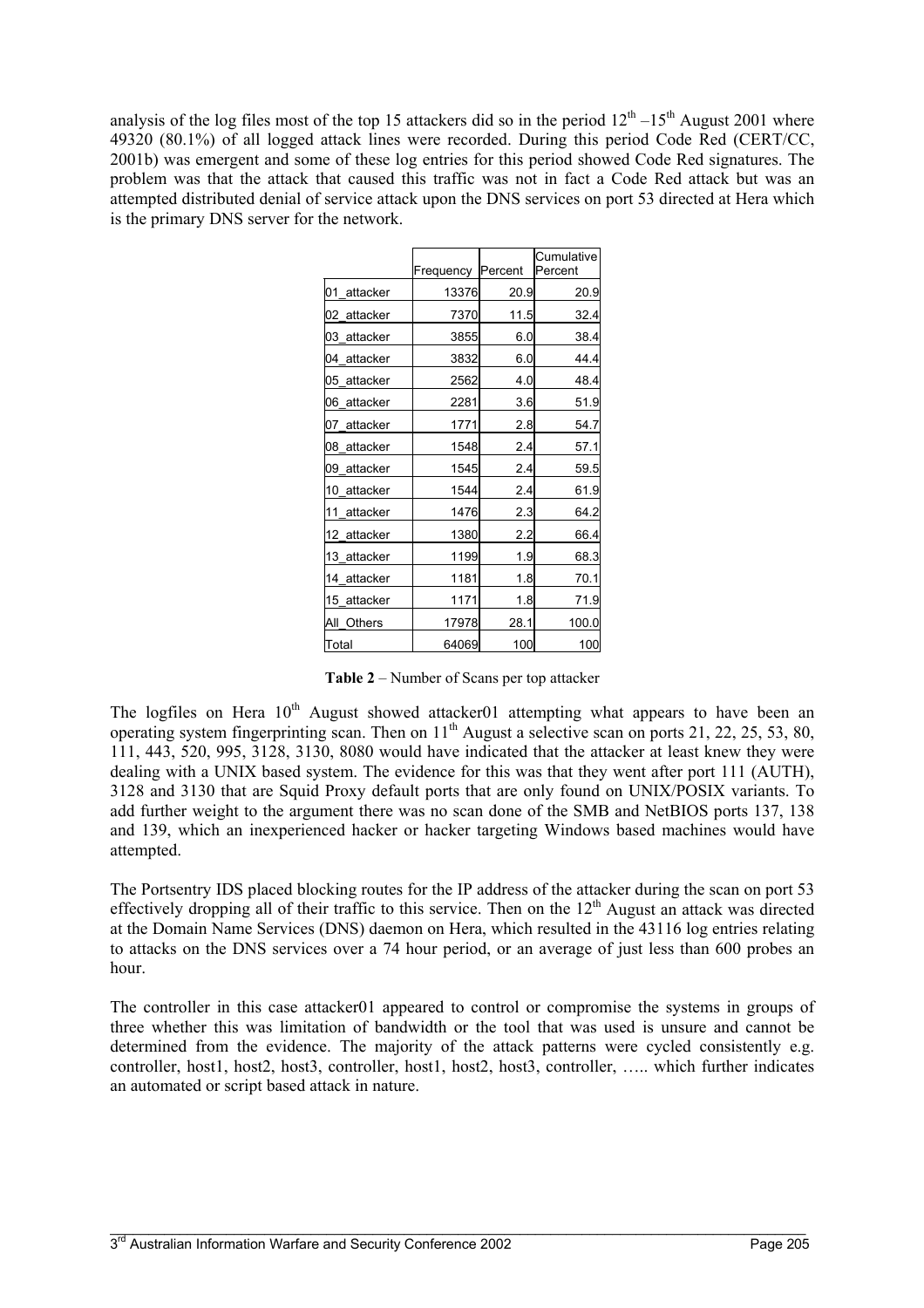analysis of the log files most of the top 15 attackers did so in the period  $12<sup>th</sup> - 15<sup>th</sup>$  August 2001 where 49320 (80.1%) of all logged attack lines were recorded. During this period Code Red (CERT/CC, 2001b) was emergent and some of these log entries for this period showed Code Red signatures. The problem was that the attack that caused this traffic was not in fact a Code Red attack but was an attempted distributed denial of service attack upon the DNS services on port 53 directed at Hera which is the primary DNS server for the network.

|                | Frequency | Percent | Cumulative<br>Percent |
|----------------|-----------|---------|-----------------------|
| 01<br>attacker | 13376     | 20.9    | 20.9                  |
| 02 attacker    | 7370      | 11.5    | 32.4                  |
| 03 attacker    | 3855      | 6.0     | 38.4                  |
| 04<br>attacker | 3832      | 6.0     | 44.4                  |
| 05<br>attacker | 2562      | 4.0     | 48.4                  |
| 06<br>attacker | 2281      | 3.6     | 51.9                  |
| 07<br>attacker | 1771      | 2.8     | 54.7                  |
| 08<br>attacker | 1548      | 2.4     | 57.1                  |
| 09<br>attacker | 1545      | 2.4     | 59.5                  |
| 10<br>attacker | 1544      | 2.4     | 61.9                  |
| 11<br>attacker | 1476      | 2.3     | 64.2                  |
| 12 attacker    | 1380      | 2.2     | 66.4                  |
| 13 attacker    | 1199      | 1.9     | 68.3                  |
| 14 attacker    | 1181      | 1.8     | 70.1                  |
| 15 attacker    | 1171      | 1.8     | 71.9                  |
| All Others     | 17978     | 28.1    | 100.0                 |
| Total          | 64069     | 100     | 100                   |

**Table 2** – Number of Scans per top attacker

The logfiles on Hera 10<sup>th</sup> August showed attacker01 attempting what appears to have been an operating system fingerprinting scan. Then on  $11<sup>th</sup>$  August a selective scan on ports 21, 22, 25, 53, 80, 111, 443, 520, 995, 3128, 3130, 8080 would have indicated that the attacker at least knew they were dealing with a UNIX based system. The evidence for this was that they went after port 111 (AUTH), 3128 and 3130 that are Squid Proxy default ports that are only found on UNIX/POSIX variants. To add further weight to the argument there was no scan done of the SMB and NetBIOS ports 137, 138 and 139, which an inexperienced hacker or hacker targeting Windows based machines would have attempted.

The Portsentry IDS placed blocking routes for the IP address of the attacker during the scan on port 53 effectively dropping all of their traffic to this service. Then on the  $12<sup>th</sup>$  August an attack was directed at the Domain Name Services (DNS) daemon on Hera, which resulted in the 43116 log entries relating to attacks on the DNS services over a 74 hour period, or an average of just less than 600 probes an hour.

The controller in this case attacker01 appeared to control or compromise the systems in groups of three whether this was limitation of bandwidth or the tool that was used is unsure and cannot be determined from the evidence. The majority of the attack patterns were cycled consistently e.g. controller, host1, host2, host3, controller, host1, host2, host3, controller, ….. which further indicates an automated or script based attack in nature.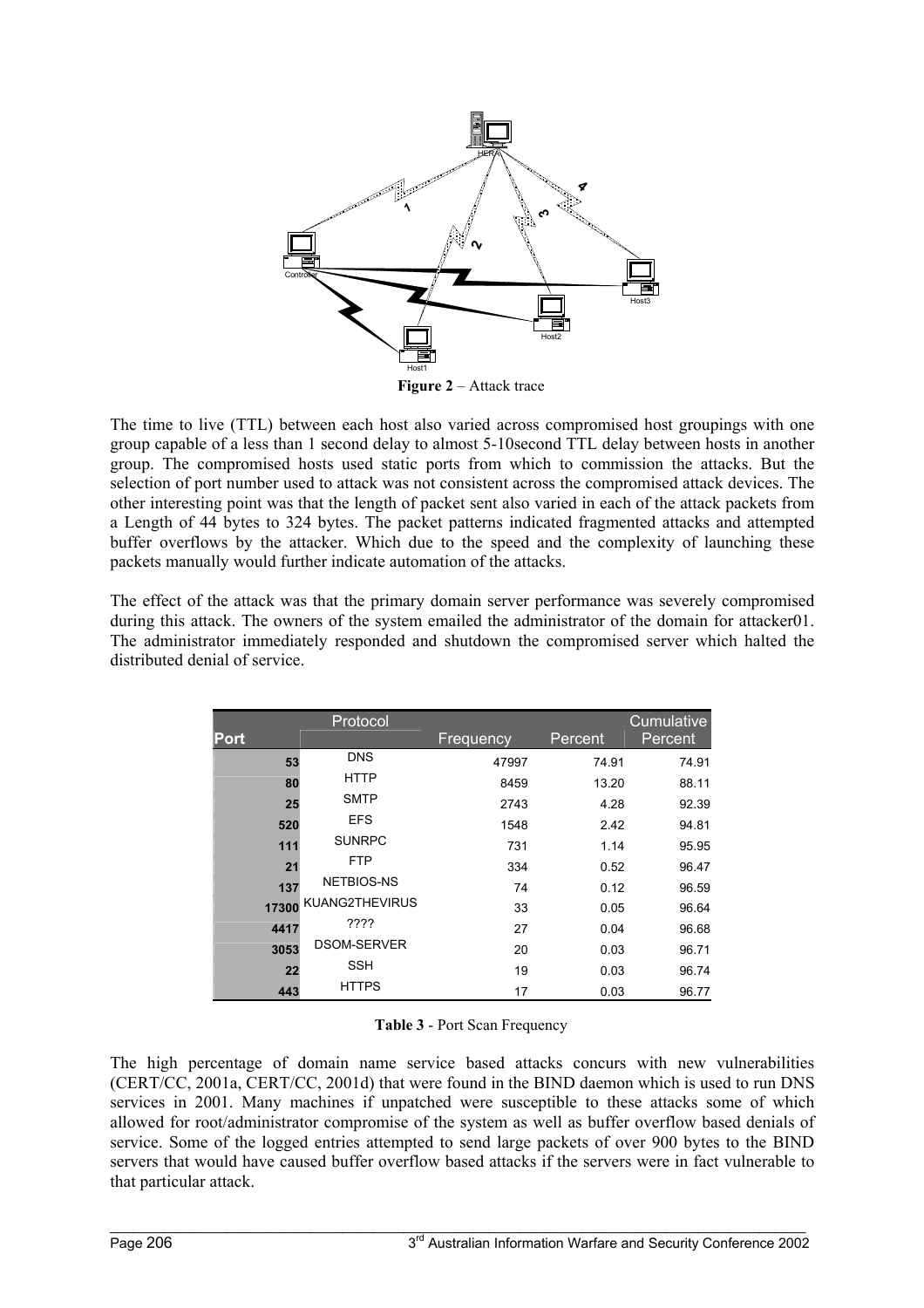

**Figure 2** – Attack trace

The time to live (TTL) between each host also varied across compromised host groupings with one group capable of a less than 1 second delay to almost 5-10second TTL delay between hosts in another group. The compromised hosts used static ports from which to commission the attacks. But the selection of port number used to attack was not consistent across the compromised attack devices. The other interesting point was that the length of packet sent also varied in each of the attack packets from a Length of 44 bytes to 324 bytes. The packet patterns indicated fragmented attacks and attempted buffer overflows by the attacker. Which due to the speed and the complexity of launching these packets manually would further indicate automation of the attacks.

The effect of the attack was that the primary domain server performance was severely compromised during this attack. The owners of the system emailed the administrator of the domain for attacker01. The administrator immediately responded and shutdown the compromised server which halted the distributed denial of service.

|             | Protocol           |           |         | Cumulative |
|-------------|--------------------|-----------|---------|------------|
| <b>Port</b> |                    | Frequency | Percent | Percent    |
| 53          | <b>DNS</b>         | 47997     | 74.91   | 74.91      |
| 80          | <b>HTTP</b>        | 8459      | 13.20   | 88.11      |
| 25          | <b>SMTP</b>        | 2743      | 4.28    | 92.39      |
| 520         | <b>EFS</b>         | 1548      | 2.42    | 94.81      |
| 111         | <b>SUNRPC</b>      | 731       | 1.14    | 95.95      |
| 21          | <b>FTP</b>         | 334       | 0.52    | 96.47      |
| 137         | NETBIOS-NS         | 74        | 0.12    | 96.59      |
| 17300       | KUANG2THEVIRUS     | 33        | 0.05    | 96.64      |
| 4417        | ????               | 27        | 0.04    | 96.68      |
| 3053        | <b>DSOM-SERVER</b> | 20        | 0.03    | 96.71      |
| 22          | <b>SSH</b>         | 19        | 0.03    | 96.74      |
| 443         | <b>HTTPS</b>       | 17        | 0.03    | 96.77      |

| Table 3 - Port Scan Frequency |  |  |  |  |
|-------------------------------|--|--|--|--|
|-------------------------------|--|--|--|--|

The high percentage of domain name service based attacks concurs with new vulnerabilities (CERT/CC, 2001a, CERT/CC, 2001d) that were found in the BIND daemon which is used to run DNS services in 2001. Many machines if unpatched were susceptible to these attacks some of which allowed for root/administrator compromise of the system as well as buffer overflow based denials of service. Some of the logged entries attempted to send large packets of over 900 bytes to the BIND servers that would have caused buffer overflow based attacks if the servers were in fact vulnerable to that particular attack.

 $\mathcal{L}_\mathcal{L} = \mathcal{L}_\mathcal{L} = \mathcal{L}_\mathcal{L} = \mathcal{L}_\mathcal{L} = \mathcal{L}_\mathcal{L} = \mathcal{L}_\mathcal{L} = \mathcal{L}_\mathcal{L} = \mathcal{L}_\mathcal{L} = \mathcal{L}_\mathcal{L} = \mathcal{L}_\mathcal{L} = \mathcal{L}_\mathcal{L} = \mathcal{L}_\mathcal{L} = \mathcal{L}_\mathcal{L} = \mathcal{L}_\mathcal{L} = \mathcal{L}_\mathcal{L} = \mathcal{L}_\mathcal{L} = \mathcal{L}_\mathcal{L}$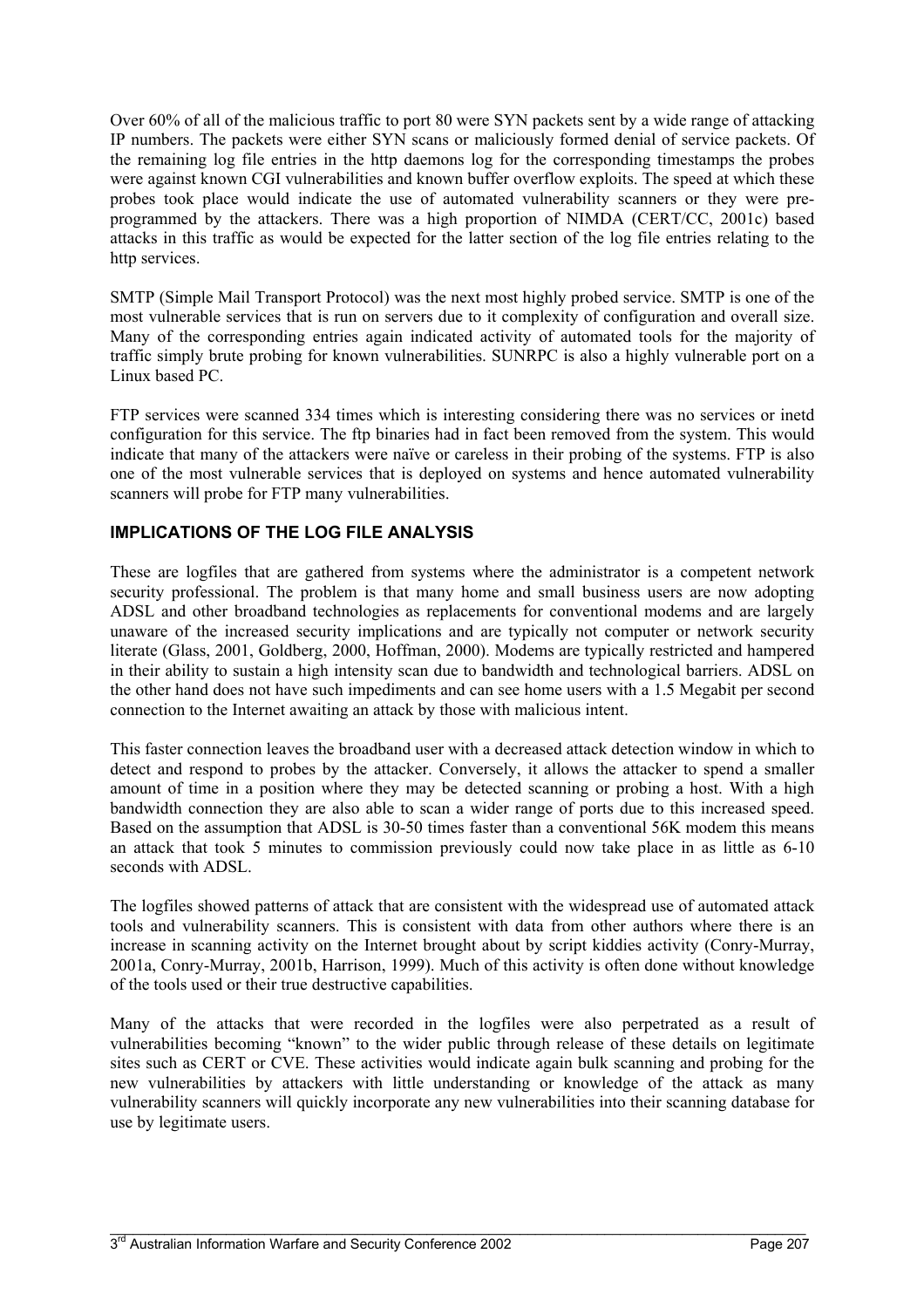Over 60% of all of the malicious traffic to port 80 were SYN packets sent by a wide range of attacking IP numbers. The packets were either SYN scans or maliciously formed denial of service packets. Of the remaining log file entries in the http daemons log for the corresponding timestamps the probes were against known CGI vulnerabilities and known buffer overflow exploits. The speed at which these probes took place would indicate the use of automated vulnerability scanners or they were preprogrammed by the attackers. There was a high proportion of NIMDA (CERT/CC, 2001c) based attacks in this traffic as would be expected for the latter section of the log file entries relating to the http services.

SMTP (Simple Mail Transport Protocol) was the next most highly probed service. SMTP is one of the most vulnerable services that is run on servers due to it complexity of configuration and overall size. Many of the corresponding entries again indicated activity of automated tools for the majority of traffic simply brute probing for known vulnerabilities. SUNRPC is also a highly vulnerable port on a Linux based PC.

FTP services were scanned 334 times which is interesting considering there was no services or inetd configuration for this service. The ftp binaries had in fact been removed from the system. This would indicate that many of the attackers were naïve or careless in their probing of the systems. FTP is also one of the most vulnerable services that is deployed on systems and hence automated vulnerability scanners will probe for FTP many vulnerabilities.

# **IMPLICATIONS OF THE LOG FILE ANALYSIS**

These are logfiles that are gathered from systems where the administrator is a competent network security professional. The problem is that many home and small business users are now adopting ADSL and other broadband technologies as replacements for conventional modems and are largely unaware of the increased security implications and are typically not computer or network security literate (Glass, 2001, Goldberg, 2000, Hoffman, 2000). Modems are typically restricted and hampered in their ability to sustain a high intensity scan due to bandwidth and technological barriers. ADSL on the other hand does not have such impediments and can see home users with a 1.5 Megabit per second connection to the Internet awaiting an attack by those with malicious intent.

This faster connection leaves the broadband user with a decreased attack detection window in which to detect and respond to probes by the attacker. Conversely, it allows the attacker to spend a smaller amount of time in a position where they may be detected scanning or probing a host. With a high bandwidth connection they are also able to scan a wider range of ports due to this increased speed. Based on the assumption that ADSL is 30-50 times faster than a conventional 56K modem this means an attack that took 5 minutes to commission previously could now take place in as little as 6-10 seconds with ADSL.

The logfiles showed patterns of attack that are consistent with the widespread use of automated attack tools and vulnerability scanners. This is consistent with data from other authors where there is an increase in scanning activity on the Internet brought about by script kiddies activity (Conry-Murray, 2001a, Conry-Murray, 2001b, Harrison, 1999). Much of this activity is often done without knowledge of the tools used or their true destructive capabilities.

Many of the attacks that were recorded in the logfiles were also perpetrated as a result of vulnerabilities becoming "known" to the wider public through release of these details on legitimate sites such as CERT or CVE. These activities would indicate again bulk scanning and probing for the new vulnerabilities by attackers with little understanding or knowledge of the attack as many vulnerability scanners will quickly incorporate any new vulnerabilities into their scanning database for use by legitimate users.